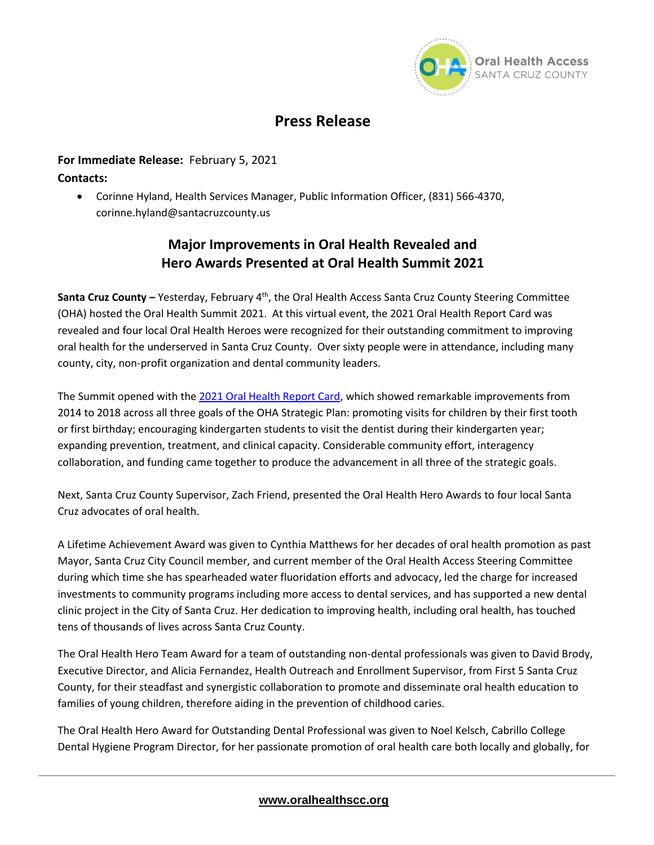

# **Press Release**

### **For Immediate Release:** February 5, 2021

**Contacts:** 

• Corinne Hyland, Health Services Manager, Public Information Officer, (831) 566-4370, corinne.hyland@santacruzcounty.us

## **Major Improvements in Oral Health Revealed and Hero Awards Presented at Oral Health Summit 2021**

Santa Cruz County – Yesterday, February 4<sup>th</sup>, the Oral Health Access Santa Cruz County Steering Committee (OHA) hosted the Oral Health Summit 2021. At this virtual event, the 2021 Oral Health Report Card was revealed and four local Oral Health Heroes were recognized for their outstanding commitment to improving oral health for the underserved in Santa Cruz County. Over sixty people were in attendance, including many county, city, non-profit organization and dental community leaders.

The Summit opened with th[e 2021 Oral Health Report Card,](http://oralhealthscc.org/wp-content/uploads/2021/02/Oral-Heatlh-Report-Card-2021_FINAL_ENG.pdf) which showed remarkable improvements from 2014 to 2018 across all three goals of the OHA Strategic Plan: promoting visits for children by their first tooth or first birthday; encouraging kindergarten students to visit the dentist during their kindergarten year; expanding prevention, treatment, and clinical capacity. Considerable community effort, interagency collaboration, and funding came together to produce the advancement in all three of the strategic goals.

Next, Santa Cruz County Supervisor, Zach Friend, presented the Oral Health Hero Awards to four local Santa Cruz advocates of oral health.

A Lifetime Achievement Award was given to Cynthia Matthews for her decades of oral health promotion as past Mayor, Santa Cruz City Council member, and current member of the Oral Health Access Steering Committee during which time she has spearheaded water fluoridation efforts and advocacy, led the charge for increased investments to community programs including more access to dental services, and has supported a new dental clinic project in the City of Santa Cruz. Her dedication to improving health, including oral health, has touched tens of thousands of lives across Santa Cruz County.

The Oral Health Hero Team Award for a team of outstanding non-dental professionals was given to David Brody, Executive Director, and Alicia Fernandez, Health Outreach and Enrollment Supervisor, from First 5 Santa Cruz County, for their steadfast and synergistic collaboration to promote and disseminate oral health education to families of young children, therefore aiding in the prevention of childhood caries.

The Oral Health Hero Award for Outstanding Dental Professional was given to Noel Kelsch, Cabrillo College Dental Hygiene Program Director, for her passionate promotion of oral health care both locally and globally, for

#### **[www.oralhealthscc.org](http://www.oralhealthscc.org/)**